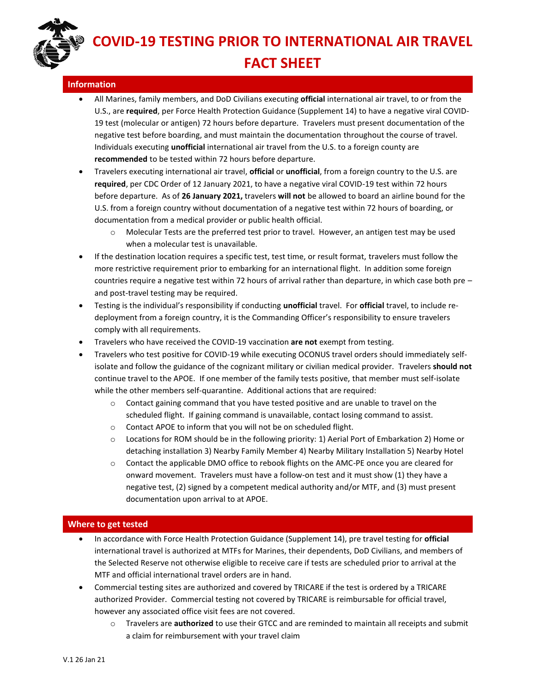**COVID-19 TESTING PRIOR TO INTERNATIONAL AIR TRAVEL FACT SHEET**

## **Information**

- All Marines, family members, and DoD Civilians executing **official** international air travel, to or from the U.S., are **required**, per Force Health Protection Guidance (Supplement 14) to have a negative viral COVID-19 test (molecular or antigen) 72 hours before departure. Travelers must present documentation of the negative test before boarding, and must maintain the documentation throughout the course of travel. Individuals executing **unofficial** international air travel from the U.S. to a foreign county are **recommended** to be tested within 72 hours before departure.
- Travelers executing international air travel, **official** or **unofficial**, from a foreign country to the U.S. are **required**, per CDC Order of 12 January 2021, to have a negative viral COVID-19 test within 72 hours before departure. As of **26 January 2021,** travelers **will not** be allowed to board an airline bound for the U.S. from a foreign country without documentation of a negative test within 72 hours of boarding, or documentation from a medical provider or public health official.
	- $\circ$  Molecular Tests are the preferred test prior to travel. However, an antigen test may be used when a molecular test is unavailable.
- If the destination location requires a specific test, test time, or result format, travelers must follow the more restrictive requirement prior to embarking for an international flight. In addition some foreign countries require a negative test within 72 hours of arrival rather than departure, in which case both pre – and post-travel testing may be required.
- Testing is the individual's responsibility if conducting **unofficial** travel. For **official** travel, to include redeployment from a foreign country, it is the Commanding Officer's responsibility to ensure travelers comply with all requirements.
- Travelers who have received the COVID-19 vaccination **are not** exempt from testing.
- Travelers who test positive for COVID-19 while executing OCONUS travel orders should immediately selfisolate and follow the guidance of the cognizant military or civilian medical provider. Travelers **should not** continue travel to the APOE. If one member of the family tests positive, that member must self-isolate while the other members self-quarantine. Additional actions that are required:
	- $\circ$  Contact gaining command that you have tested positive and are unable to travel on the scheduled flight. If gaining command is unavailable, contact losing command to assist.
	- o Contact APOE to inform that you will not be on scheduled flight.
	- o Locations for ROM should be in the following priority: 1) Aerial Port of Embarkation 2) Home or detaching installation 3) Nearby Family Member 4) Nearby Military Installation 5) Nearby Hotel
	- $\circ$  Contact the applicable DMO office to rebook flights on the AMC-PE once you are cleared for onward movement. Travelers must have a follow-on test and it must show (1) they have a negative test, (2) signed by a competent medical authority and/or MTF, and (3) must present documentation upon arrival to at APOE.

## **Where to get tested**

- In accordance with Force Health Protection Guidance (Supplement 14), pre travel testing for **official**  international travel is authorized at MTFs for Marines, their dependents, DoD Civilians, and members of the Selected Reserve not otherwise eligible to receive care if tests are scheduled prior to arrival at the MTF and official international travel orders are in hand.
- Commercial testing sites are authorized and covered by TRICARE if the test is ordered by a TRICARE authorized Provider. Commercial testing not covered by TRICARE is reimbursable for official travel, however any associated office visit fees are not covered.
	- o Travelers are **authorized** to use their GTCC and are reminded to maintain all receipts and submit a claim for reimbursement with your travel claim